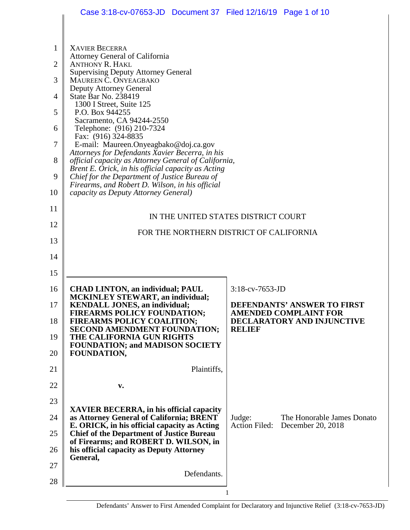|                | Case 3:18-cv-07653-JD  Document 37  Filed 12/16/19  Page 1 of 10                                                                                                                          |                                                             |  |  |  |  |
|----------------|-------------------------------------------------------------------------------------------------------------------------------------------------------------------------------------------|-------------------------------------------------------------|--|--|--|--|
|                |                                                                                                                                                                                           |                                                             |  |  |  |  |
| $\mathbf{1}$   | <b>XAVIER BECERRA</b>                                                                                                                                                                     |                                                             |  |  |  |  |
| $\overline{2}$ | Attorney General of California<br><b>ANTHONY R. HAKL</b><br><b>Supervising Deputy Attorney General</b><br>MAUREEN C. ONYEAGBAKO<br><b>Deputy Attorney General</b><br>State Bar No. 238419 |                                                             |  |  |  |  |
| 3              |                                                                                                                                                                                           |                                                             |  |  |  |  |
| $\overline{4}$ |                                                                                                                                                                                           |                                                             |  |  |  |  |
| 5              | 1300 I Street, Suite 125<br>P.O. Box 944255                                                                                                                                               |                                                             |  |  |  |  |
| 6              | Sacramento, CA 94244-2550<br>Telephone: (916) 210-7324                                                                                                                                    |                                                             |  |  |  |  |
| 7              | Fax: (916) 324-8835<br>E-mail: Maureen.Onyeagbako@doj.ca.gov                                                                                                                              |                                                             |  |  |  |  |
| 8              | Attorneys for Defendants Xavier Becerra, in his<br>official capacity as Attorney General of California,                                                                                   |                                                             |  |  |  |  |
| 9              | Brent E. Orick, in his official capacity as Acting<br>Chief for the Department of Justice Bureau of<br>Firearms, and Robert D. Wilson, in his official                                    |                                                             |  |  |  |  |
| 10             | capacity as Deputy Attorney General)                                                                                                                                                      |                                                             |  |  |  |  |
| 11             |                                                                                                                                                                                           | IN THE UNITED STATES DISTRICT COURT                         |  |  |  |  |
| 12             | FOR THE NORTHERN DISTRICT OF CALIFORNIA                                                                                                                                                   |                                                             |  |  |  |  |
| 13             |                                                                                                                                                                                           |                                                             |  |  |  |  |
| 14             |                                                                                                                                                                                           |                                                             |  |  |  |  |
| 15             |                                                                                                                                                                                           |                                                             |  |  |  |  |
| 16             | <b>CHAD LINTON, an individual; PAUL</b><br><b>MCKINLEY STEWART, an individual;</b>                                                                                                        | $3:18$ -cv-7653-JD                                          |  |  |  |  |
| 17             | <b>KENDALL JONES, an individual;</b><br><b>FIREARMS POLICY FOUNDATION;</b>                                                                                                                | DEFENDANTS' ANSWER TO FIRST<br><b>AMENDED COMPLAINT FOR</b> |  |  |  |  |
| 18             | FIREARMS POLICY COALITION;<br>SECOND AMENDMENT FOUNDATION;<br>THE CALIFORNIA GUN RIGHTS                                                                                                   | DECLARATORY AND INJUNCTIVE<br><b>RELIEF</b>                 |  |  |  |  |
| 19<br>20       | <b>FOUNDATION; and MADISON SOCIETY</b><br><b>FOUNDATION,</b>                                                                                                                              |                                                             |  |  |  |  |
| 21             | Plaintiffs,                                                                                                                                                                               |                                                             |  |  |  |  |
| 22             | v.                                                                                                                                                                                        |                                                             |  |  |  |  |
| 23             |                                                                                                                                                                                           |                                                             |  |  |  |  |
| 24             | <b>XAVIER BECERRA, in his official capacity</b><br>as Attorney General of California; BRENT                                                                                               | Judge:<br>The Honorable James Donato                        |  |  |  |  |
| 25             | E. ORICK, in his official capacity as Acting<br><b>Chief of the Department of Justice Bureau</b>                                                                                          | <b>Action Filed:</b><br>December 20, 2018                   |  |  |  |  |
| 26             | of Firearms; and ROBERT D. WILSON, in<br>his official capacity as Deputy Attorney                                                                                                         |                                                             |  |  |  |  |
| 27             | General,                                                                                                                                                                                  |                                                             |  |  |  |  |
| 28             | Defendants.                                                                                                                                                                               |                                                             |  |  |  |  |
|                |                                                                                                                                                                                           |                                                             |  |  |  |  |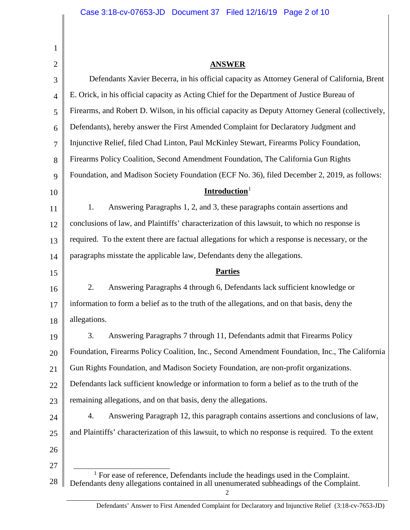| 1              |                                                                                                                                                                              |  |  |
|----------------|------------------------------------------------------------------------------------------------------------------------------------------------------------------------------|--|--|
| $\overline{2}$ | <b>ANSWER</b>                                                                                                                                                                |  |  |
| 3              | Defendants Xavier Becerra, in his official capacity as Attorney General of California, Brent                                                                                 |  |  |
| 4              | E. Orick, in his official capacity as Acting Chief for the Department of Justice Bureau of                                                                                   |  |  |
| 5              | Firearms, and Robert D. Wilson, in his official capacity as Deputy Attorney General (collectively,                                                                           |  |  |
| 6              | Defendants), hereby answer the First Amended Complaint for Declaratory Judgment and                                                                                          |  |  |
| 7              | Injunctive Relief, filed Chad Linton, Paul McKinley Stewart, Firearms Policy Foundation,                                                                                     |  |  |
| 8              | Firearms Policy Coalition, Second Amendment Foundation, The California Gun Rights                                                                                            |  |  |
| 9              | Foundation, and Madison Society Foundation (ECF No. 36), filed December 2, 2019, as follows:                                                                                 |  |  |
| 10             | Introduction <sup>1</sup>                                                                                                                                                    |  |  |
| 11             | Answering Paragraphs 1, 2, and 3, these paragraphs contain assertions and<br>1.                                                                                              |  |  |
| 12             | conclusions of law, and Plaintiffs' characterization of this lawsuit, to which no response is                                                                                |  |  |
| 13             | required. To the extent there are factual allegations for which a response is necessary, or the                                                                              |  |  |
| 14             | paragraphs misstate the applicable law, Defendants deny the allegations.                                                                                                     |  |  |
| 15             | <b>Parties</b>                                                                                                                                                               |  |  |
| 16             | 2.<br>Answering Paragraphs 4 through 6, Defendants lack sufficient knowledge or                                                                                              |  |  |
| 17             | information to form a belief as to the truth of the allegations, and on that basis, deny the                                                                                 |  |  |
| 18             | allegations.                                                                                                                                                                 |  |  |
| 19             | Answering Paragraphs 7 through 11, Defendants admit that Firearms Policy<br>3.                                                                                               |  |  |
| 20             | Foundation, Firearms Policy Coalition, Inc., Second Amendment Foundation, Inc., The California                                                                               |  |  |
| 21             | Gun Rights Foundation, and Madison Society Foundation, are non-profit organizations.                                                                                         |  |  |
| 22             | Defendants lack sufficient knowledge or information to form a belief as to the truth of the                                                                                  |  |  |
| 23             | remaining allegations, and on that basis, deny the allegations.                                                                                                              |  |  |
| 24             | Answering Paragraph 12, this paragraph contains assertions and conclusions of law,<br>4.                                                                                     |  |  |
| 25             | and Plaintiffs' characterization of this lawsuit, to which no response is required. To the extent                                                                            |  |  |
| 26             |                                                                                                                                                                              |  |  |
| 27             |                                                                                                                                                                              |  |  |
| 28             | $1$ For ease of reference, Defendants include the headings used in the Complaint.<br>Defendants deny allegations contained in all unenumerated subheadings of the Complaint. |  |  |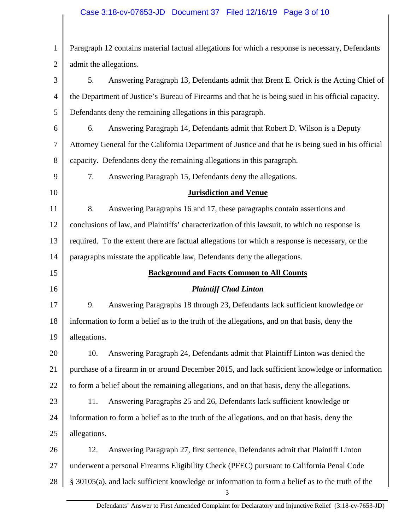#### Case 3:18-cv-07653-JD Document 37 Filed 12/16/19 Page 3 of 10

| $\mathbf{1}$                     | Paragraph 12 contains material factual allegations for which a response is necessary, Defendants      |  |  |
|----------------------------------|-------------------------------------------------------------------------------------------------------|--|--|
| $\overline{2}$                   | admit the allegations.                                                                                |  |  |
| 3                                | 5.<br>Answering Paragraph 13, Defendants admit that Brent E. Orick is the Acting Chief of             |  |  |
| $\overline{4}$                   | the Department of Justice's Bureau of Firearms and that he is being sued in his official capacity.    |  |  |
| 5                                | Defendants deny the remaining allegations in this paragraph.                                          |  |  |
| 6                                | Answering Paragraph 14, Defendants admit that Robert D. Wilson is a Deputy<br>6.                      |  |  |
| 7                                | Attorney General for the California Department of Justice and that he is being sued in his official   |  |  |
| 8                                | capacity. Defendants deny the remaining allegations in this paragraph.                                |  |  |
| 9                                | 7.<br>Answering Paragraph 15, Defendants deny the allegations.                                        |  |  |
| 10                               | <b>Jurisdiction and Venue</b>                                                                         |  |  |
| 11                               | 8.<br>Answering Paragraphs 16 and 17, these paragraphs contain assertions and                         |  |  |
| 12                               | conclusions of law, and Plaintiffs' characterization of this lawsuit, to which no response is         |  |  |
| 13                               | required. To the extent there are factual allegations for which a response is necessary, or the       |  |  |
| 14                               | paragraphs misstate the applicable law, Defendants deny the allegations.                              |  |  |
|                                  | <b>Background and Facts Common to All Counts</b>                                                      |  |  |
| 15                               |                                                                                                       |  |  |
| 16                               | <b>Plaintiff Chad Linton</b>                                                                          |  |  |
|                                  | 9.<br>Answering Paragraphs 18 through 23, Defendants lack sufficient knowledge or                     |  |  |
|                                  | information to form a belief as to the truth of the allegations, and on that basis, deny the          |  |  |
|                                  | allegations.                                                                                          |  |  |
|                                  | Answering Paragraph 24, Defendants admit that Plaintiff Linton was denied the<br>10.                  |  |  |
| 17<br>18<br>19<br>20<br>21       | purchase of a firearm in or around December 2015, and lack sufficient knowledge or information        |  |  |
|                                  | to form a belief about the remaining allegations, and on that basis, deny the allegations.            |  |  |
|                                  | Answering Paragraphs 25 and 26, Defendants lack sufficient knowledge or<br>11.                        |  |  |
|                                  | information to form a belief as to the truth of the allegations, and on that basis, deny the          |  |  |
|                                  | allegations.                                                                                          |  |  |
|                                  | Answering Paragraph 27, first sentence, Defendants admit that Plaintiff Linton<br>12.                 |  |  |
| 22<br>23<br>24<br>25<br>26<br>27 | underwent a personal Firearms Eligibility Check (PFEC) pursuant to California Penal Code              |  |  |
| 28                               | § 30105(a), and lack sufficient knowledge or information to form a belief as to the truth of the<br>3 |  |  |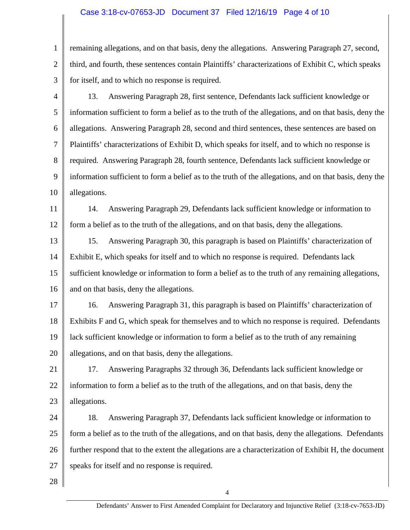#### Case 3:18-cv-07653-JD Document 37 Filed 12/16/19 Page 4 of 10

1 2 3 remaining allegations, and on that basis, deny the allegations. Answering Paragraph 27, second, third, and fourth, these sentences contain Plaintiffs' characterizations of Exhibit C, which speaks for itself, and to which no response is required.

4 5 6 7 8 9 10 13. Answering Paragraph 28, first sentence, Defendants lack sufficient knowledge or information sufficient to form a belief as to the truth of the allegations, and on that basis, deny the allegations. Answering Paragraph 28, second and third sentences, these sentences are based on Plaintiffs' characterizations of Exhibit D, which speaks for itself, and to which no response is required. Answering Paragraph 28, fourth sentence, Defendants lack sufficient knowledge or information sufficient to form a belief as to the truth of the allegations, and on that basis, deny the allegations.

11 12 14. Answering Paragraph 29, Defendants lack sufficient knowledge or information to form a belief as to the truth of the allegations, and on that basis, deny the allegations.

13 14 15 16 15. Answering Paragraph 30, this paragraph is based on Plaintiffs' characterization of Exhibit E, which speaks for itself and to which no response is required. Defendants lack sufficient knowledge or information to form a belief as to the truth of any remaining allegations, and on that basis, deny the allegations.

17 18 19 20 16. Answering Paragraph 31, this paragraph is based on Plaintiffs' characterization of Exhibits F and G, which speak for themselves and to which no response is required. Defendants lack sufficient knowledge or information to form a belief as to the truth of any remaining allegations, and on that basis, deny the allegations.

21 22 23 17. Answering Paragraphs 32 through 36, Defendants lack sufficient knowledge or information to form a belief as to the truth of the allegations, and on that basis, deny the allegations.

24 25 26 27 18. Answering Paragraph 37, Defendants lack sufficient knowledge or information to form a belief as to the truth of the allegations, and on that basis, deny the allegations. Defendants further respond that to the extent the allegations are a characterization of Exhibit H, the document speaks for itself and no response is required.

28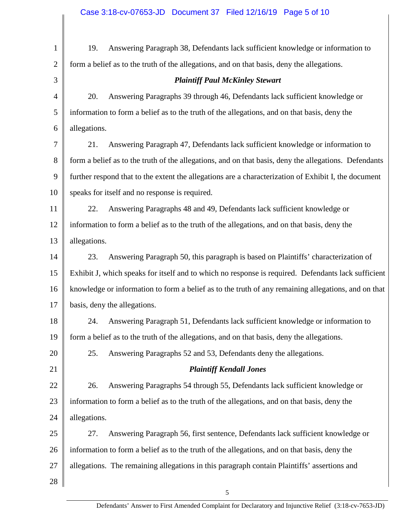| $\mathbf{1}$   | Answering Paragraph 38, Defendants lack sufficient knowledge or information to<br>19.                 |  |  |
|----------------|-------------------------------------------------------------------------------------------------------|--|--|
| $\overline{2}$ | form a belief as to the truth of the allegations, and on that basis, deny the allegations.            |  |  |
| 3              | <b>Plaintiff Paul McKinley Stewart</b>                                                                |  |  |
| $\overline{4}$ | Answering Paragraphs 39 through 46, Defendants lack sufficient knowledge or<br>20.                    |  |  |
| 5              | information to form a belief as to the truth of the allegations, and on that basis, deny the          |  |  |
| 6              | allegations.                                                                                          |  |  |
| 7              | Answering Paragraph 47, Defendants lack sufficient knowledge or information to<br>21.                 |  |  |
| 8              | form a belief as to the truth of the allegations, and on that basis, deny the allegations. Defendants |  |  |
| 9              | further respond that to the extent the allegations are a characterization of Exhibit I, the document  |  |  |
| 10             | speaks for itself and no response is required.                                                        |  |  |
| 11             | Answering Paragraphs 48 and 49, Defendants lack sufficient knowledge or<br>22.                        |  |  |
| 12             | information to form a belief as to the truth of the allegations, and on that basis, deny the          |  |  |
| 13             | allegations.                                                                                          |  |  |
| 14             | Answering Paragraph 50, this paragraph is based on Plaintiffs' characterization of<br>23.             |  |  |
| 15             | Exhibit J, which speaks for itself and to which no response is required. Defendants lack sufficient   |  |  |
| 16             | knowledge or information to form a belief as to the truth of any remaining allegations, and on that   |  |  |
| 17             | basis, deny the allegations.                                                                          |  |  |
| 18             | Answering Paragraph 51, Defendants lack sufficient knowledge or information to<br>24.                 |  |  |
| 19             | form a belief as to the truth of the allegations, and on that basis, deny the allegations.            |  |  |
| 20             | 25.<br>Answering Paragraphs 52 and 53, Defendants deny the allegations.                               |  |  |
| 21             | <b>Plaintiff Kendall Jones</b>                                                                        |  |  |
| 22             | Answering Paragraphs 54 through 55, Defendants lack sufficient knowledge or<br>26.                    |  |  |
| 23             | information to form a belief as to the truth of the allegations, and on that basis, deny the          |  |  |
| 24             | allegations.                                                                                          |  |  |
| 25             | 27.<br>Answering Paragraph 56, first sentence, Defendants lack sufficient knowledge or                |  |  |
| 26             | information to form a belief as to the truth of the allegations, and on that basis, deny the          |  |  |
| 27             | allegations. The remaining allegations in this paragraph contain Plaintiffs' assertions and           |  |  |
| 28             |                                                                                                       |  |  |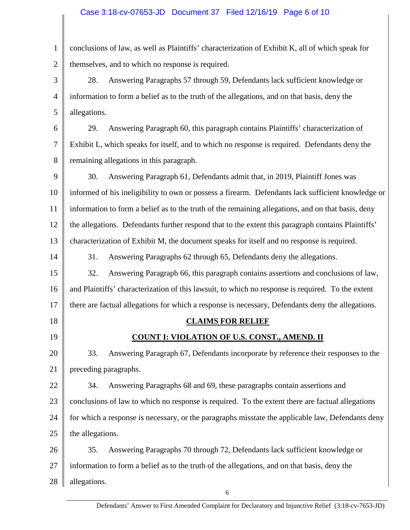1 2 conclusions of law, as well as Plaintiffs' characterization of Exhibit K, all of which speak for themselves, and to which no response is required.

3 4 5 28. Answering Paragraphs 57 through 59, Defendants lack sufficient knowledge or information to form a belief as to the truth of the allegations, and on that basis, deny the allegations.

6 7 8 29. Answering Paragraph 60, this paragraph contains Plaintiffs' characterization of Exhibit L, which speaks for itself, and to which no response is required. Defendants deny the remaining allegations in this paragraph.

9 10 11 12 13 30. Answering Paragraph 61, Defendants admit that, in 2019, Plaintiff Jones was informed of his ineligibility to own or possess a firearm. Defendants lack sufficient knowledge or information to form a belief as to the truth of the remaining allegations, and on that basis, deny the allegations. Defendants further respond that to the extent this paragraph contains Plaintiffs' characterization of Exhibit M, the document speaks for itself and no response is required.

31. Answering Paragraphs 62 through 65, Defendants deny the allegations.

15 16 17 32. Answering Paragraph 66, this paragraph contains assertions and conclusions of law, and Plaintiffs' characterization of this lawsuit, to which no response is required. To the extent there are factual allegations for which a response is necessary, Defendants deny the allegations.

18

14

19

# **CLAIMS FOR RELIEF**

# **COUNT I: VIOLATION OF U.S. CONST., AMEND. II**

20 21 33. Answering Paragraph 67, Defendants incorporate by reference their responses to the preceding paragraphs.

22 23 24 25 34. Answering Paragraphs 68 and 69, these paragraphs contain assertions and conclusions of law to which no response is required. To the extent there are factual allegations for which a response is necessary, or the paragraphs misstate the applicable law, Defendants deny the allegations.

26 27 28 35. Answering Paragraphs 70 through 72, Defendants lack sufficient knowledge or information to form a belief as to the truth of the allegations, and on that basis, deny the allegations.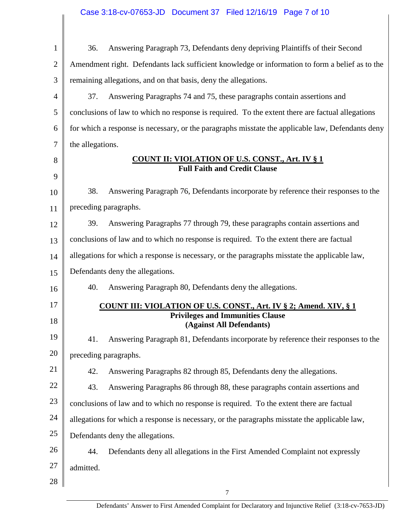| $\mathbf{1}$   | Answering Paragraph 73, Defendants deny depriving Plaintiffs of their Second<br>36.               |  |  |
|----------------|---------------------------------------------------------------------------------------------------|--|--|
| $\overline{2}$ | Amendment right. Defendants lack sufficient knowledge or information to form a belief as to the   |  |  |
| 3              | remaining allegations, and on that basis, deny the allegations.                                   |  |  |
| 4              | Answering Paragraphs 74 and 75, these paragraphs contain assertions and<br>37.                    |  |  |
| 5              | conclusions of law to which no response is required. To the extent there are factual allegations  |  |  |
| 6              | for which a response is necessary, or the paragraphs misstate the applicable law, Defendants deny |  |  |
| 7              | the allegations.                                                                                  |  |  |
| 8<br>9         | <b>COUNT II: VIOLATION OF U.S. CONST., Art. IV § 1</b><br><b>Full Faith and Credit Clause</b>     |  |  |
| 10             | 38.<br>Answering Paragraph 76, Defendants incorporate by reference their responses to the         |  |  |
| 11             | preceding paragraphs.                                                                             |  |  |
| 12             | Answering Paragraphs 77 through 79, these paragraphs contain assertions and<br>39.                |  |  |
| 13             | conclusions of law and to which no response is required. To the extent there are factual          |  |  |
| 14             | allegations for which a response is necessary, or the paragraphs misstate the applicable law,     |  |  |
| 15             | Defendants deny the allegations.                                                                  |  |  |
| 16             | 40.<br>Answering Paragraph 80, Defendants deny the allegations.                                   |  |  |
| 17             | <b>COUNT III: VIOLATION OF U.S. CONST., Art. IV § 2; Amend. XIV, § 1</b>                          |  |  |
| 18             | <b>Privileges and Immunities Clause</b><br>(Against All Defendants)                               |  |  |
| 19             | 41. Answering Paragraph 81, Defendants incorporate by reference their responses to the            |  |  |
| 20             | preceding paragraphs.                                                                             |  |  |
| 21             | 42.<br>Answering Paragraphs 82 through 85, Defendants deny the allegations.                       |  |  |
| 22             | 43.<br>Answering Paragraphs 86 through 88, these paragraphs contain assertions and                |  |  |
| 23             | conclusions of law and to which no response is required. To the extent there are factual          |  |  |
| 24             | allegations for which a response is necessary, or the paragraphs misstate the applicable law,     |  |  |
| 25             | Defendants deny the allegations.                                                                  |  |  |
| 26             | 44.<br>Defendants deny all allegations in the First Amended Complaint not expressly               |  |  |
| 27             | admitted.                                                                                         |  |  |
| 28             |                                                                                                   |  |  |
|                | $\boldsymbol{7}$                                                                                  |  |  |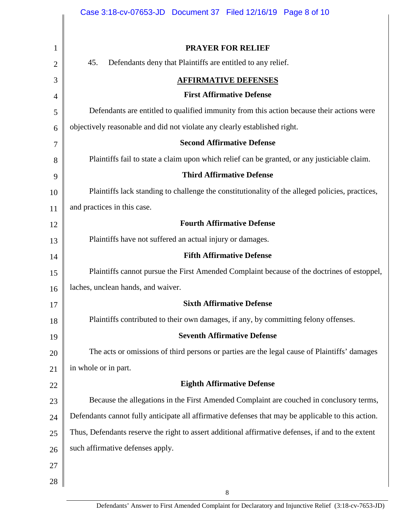|                | Case 3:18-cv-07653-JD  Document 37  Filed 12/16/19  Page 8 of 10                                   |  |  |  |
|----------------|----------------------------------------------------------------------------------------------------|--|--|--|
|                |                                                                                                    |  |  |  |
| 1              | <b>PRAYER FOR RELIEF</b>                                                                           |  |  |  |
| 2              | 45.<br>Defendants deny that Plaintiffs are entitled to any relief.                                 |  |  |  |
| 3              | <b>AFFIRMATIVE DEFENSES</b>                                                                        |  |  |  |
| $\overline{4}$ | <b>First Affirmative Defense</b>                                                                   |  |  |  |
| 5              | Defendants are entitled to qualified immunity from this action because their actions were          |  |  |  |
| 6              | objectively reasonable and did not violate any clearly established right.                          |  |  |  |
| 7              | <b>Second Affirmative Defense</b>                                                                  |  |  |  |
| 8              | Plaintiffs fail to state a claim upon which relief can be granted, or any justiciable claim.       |  |  |  |
| 9              | <b>Third Affirmative Defense</b>                                                                   |  |  |  |
| 10             | Plaintiffs lack standing to challenge the constitutionality of the alleged policies, practices,    |  |  |  |
| 11             | and practices in this case.                                                                        |  |  |  |
| 12             | <b>Fourth Affirmative Defense</b>                                                                  |  |  |  |
| 13             | Plaintiffs have not suffered an actual injury or damages.                                          |  |  |  |
| 14             | <b>Fifth Affirmative Defense</b>                                                                   |  |  |  |
| 15             | Plaintiffs cannot pursue the First Amended Complaint because of the doctrines of estoppel,         |  |  |  |
| 16             | laches, unclean hands, and waiver.                                                                 |  |  |  |
| 17             | <b>Sixth Affirmative Defense</b>                                                                   |  |  |  |
| 18             | Plaintiffs contributed to their own damages, if any, by committing felony offenses.                |  |  |  |
| 19             | <b>Seventh Affirmative Defense</b>                                                                 |  |  |  |
| 20             | The acts or omissions of third persons or parties are the legal cause of Plaintiffs' damages       |  |  |  |
| 21             | in whole or in part.                                                                               |  |  |  |
| 22             | <b>Eighth Affirmative Defense</b>                                                                  |  |  |  |
| 23             | Because the allegations in the First Amended Complaint are couched in conclusory terms,            |  |  |  |
| 24             | Defendants cannot fully anticipate all affirmative defenses that may be applicable to this action. |  |  |  |
| 25             | Thus, Defendants reserve the right to assert additional affirmative defenses, if and to the extent |  |  |  |
| 26             | such affirmative defenses apply.                                                                   |  |  |  |
| 27             |                                                                                                    |  |  |  |
| 28             |                                                                                                    |  |  |  |

8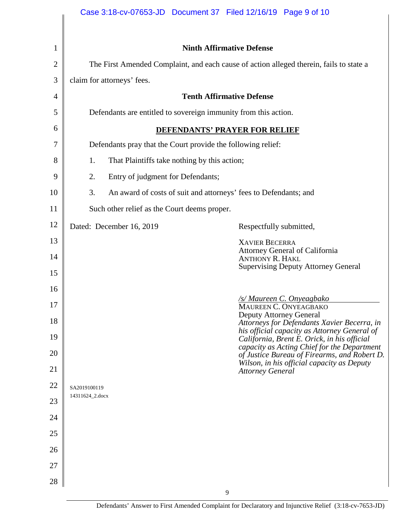| 1              |                                                                                         | <b>Ninth Affirmative Defense</b>                                 |                                                                                                                                                                                            |  |
|----------------|-----------------------------------------------------------------------------------------|------------------------------------------------------------------|--------------------------------------------------------------------------------------------------------------------------------------------------------------------------------------------|--|
| $\overline{2}$ | The First Amended Complaint, and each cause of action alleged therein, fails to state a |                                                                  |                                                                                                                                                                                            |  |
| 3              |                                                                                         | claim for attorneys' fees.                                       |                                                                                                                                                                                            |  |
| 4              | <b>Tenth Affirmative Defense</b>                                                        |                                                                  |                                                                                                                                                                                            |  |
| 5              | Defendants are entitled to sovereign immunity from this action.                         |                                                                  |                                                                                                                                                                                            |  |
| 6              | <b>DEFENDANTS' PRAYER FOR RELIEF</b>                                                    |                                                                  |                                                                                                                                                                                            |  |
| 7              | Defendants pray that the Court provide the following relief:                            |                                                                  |                                                                                                                                                                                            |  |
| 8              | That Plaintiffs take nothing by this action;<br>1.                                      |                                                                  |                                                                                                                                                                                            |  |
| 9              | 2.                                                                                      | Entry of judgment for Defendants;                                |                                                                                                                                                                                            |  |
| 10             | 3.                                                                                      | An award of costs of suit and attorneys' fees to Defendants; and |                                                                                                                                                                                            |  |
| 11             | Such other relief as the Court deems proper.                                            |                                                                  |                                                                                                                                                                                            |  |
| 12             |                                                                                         | Dated: December 16, 2019                                         | Respectfully submitted,                                                                                                                                                                    |  |
| 13<br>14       |                                                                                         |                                                                  | <b>XAVIER BECERRA</b><br>Attorney General of California<br><b>ANTHONY R. HAKL</b>                                                                                                          |  |
| 15             |                                                                                         |                                                                  | <b>Supervising Deputy Attorney General</b>                                                                                                                                                 |  |
| 16<br>17       |                                                                                         |                                                                  | <u>/s/ Maureen C. Onyeagbako<br/>MAUREEN C. ONYEAGBAKO</u>                                                                                                                                 |  |
| 18             |                                                                                         |                                                                  | <b>Deputy Attorney General</b><br>Attorneys for Defendants Xavier Becerra, in                                                                                                              |  |
| 19<br>20       |                                                                                         |                                                                  | his official capacity as Attorney General of<br>California, Brent E. Orick, in his official<br>capacity as Acting Chief for the Department<br>of Justice Bureau of Firearms, and Robert D. |  |
| 21             |                                                                                         |                                                                  | Wilson, in his official capacity as Deputy<br><b>Attorney General</b>                                                                                                                      |  |
| 22             | SA2019100119                                                                            |                                                                  |                                                                                                                                                                                            |  |
| 23             | 14311624_2.docx                                                                         |                                                                  |                                                                                                                                                                                            |  |
| 24             |                                                                                         |                                                                  |                                                                                                                                                                                            |  |
| 25             |                                                                                         |                                                                  |                                                                                                                                                                                            |  |
| 26             |                                                                                         |                                                                  |                                                                                                                                                                                            |  |
| 27             |                                                                                         |                                                                  |                                                                                                                                                                                            |  |
| 28             |                                                                                         |                                                                  |                                                                                                                                                                                            |  |